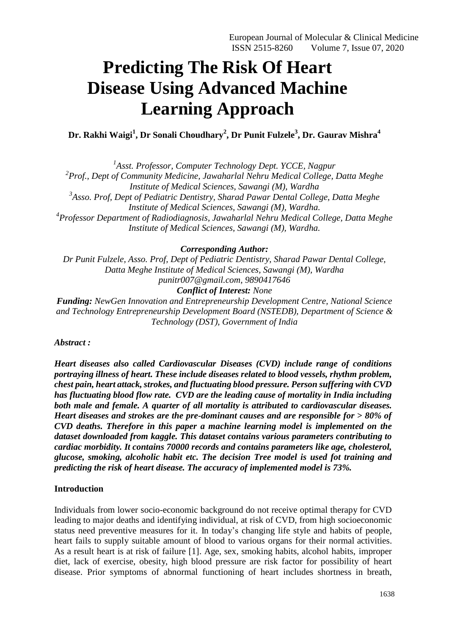# **Predicting The Risk Of Heart Disease Using Advanced Machine Learning Approach**

**Dr. Rakhi Waigi<sup>1</sup> , Dr Sonali Choudhary<sup>2</sup> , Dr Punit Fulzele<sup>3</sup> , Dr. Gaurav Mishra<sup>4</sup>**

*1 Asst. Professor, Computer Technology Dept. YCCE, Nagpur*

*2 Prof., Dept of Community Medicine, Jawaharlal Nehru Medical College, Datta Meghe Institute of Medical Sciences, Sawangi (M), Wardha 3 Asso. Prof, Dept of Pediatric Dentistry, Sharad Pawar Dental College, Datta Meghe Institute of Medical Sciences, Sawangi (M), Wardha. 4 Professor Department of Radiodiagnosis, Jawaharlal Nehru Medical College, Datta Meghe Institute of Medical Sciences, Sawangi (M), Wardha.*

*Corresponding Author:*

*Dr Punit Fulzele, Asso. Prof, Dept of Pediatric Dentistry, Sharad Pawar Dental College, Datta Meghe Institute of Medical Sciences, Sawangi (M), Wardha punitr007@gmail.com, 9890417646 Conflict of Interest: None*

*Funding: NewGen Innovation and Entrepreneurship Development Centre, National Science and Technology Entrepreneurship Development Board (NSTEDB), Department of Science & Technology (DST), Government of India*

*Abstract :*

*Heart diseases also called Cardiovascular Diseases (CVD) include range of conditions portraying illness of heart. These include diseases related to blood vessels, rhythm problem, chest pain, heart attack,strokes, and fluctuating blood pressure. Person suffering with CVD has fluctuating blood flow rate. CVD are the leading cause of mortality in India including both male and female. A quarter of all mortality is attributed to cardiovascular diseases. Heart diseases and strokes are the pre-dominant causes and are responsible for > 80% of CVD deaths. Therefore in this paper a machine learning model is implemented on the dataset downloaded from kaggle. This dataset contains various parameters contributing to cardiac morbidity. It contains 70000 records and contains parameters like age, cholesterol, glucose, smoking, alcoholic habit etc. The decision Tree model is used fot training and predicting the risk of heart disease. The accuracy of implemented model is 73%.*

# **Introduction**

Individuals from lower socio-economic background do not receive optimal therapy for CVD leading to major deaths and identifying individual, at risk of CVD, from high socioeconomic status need preventive measures for it. In today's changing life style and habits of people, heart fails to supply suitable amount of blood to various organs for their normal activities. As a result heart is at risk of failure [1]. Age, sex, smoking habits, alcohol habits, improper diet, lack of exercise, obesity, high blood pressure are risk factor for possibility of heart disease. Prior symptoms of abnormal functioning of heart includes shortness in breath,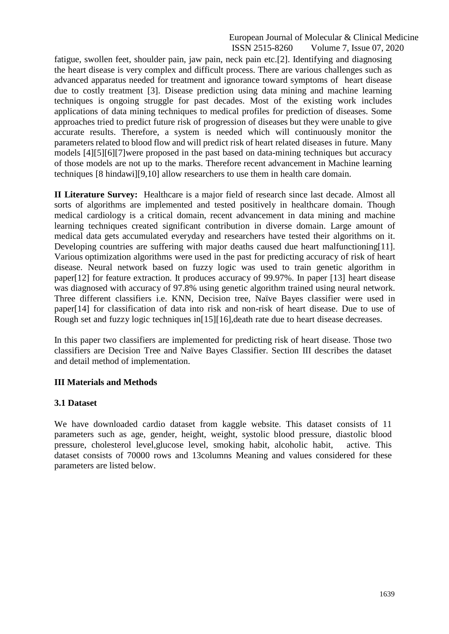fatigue, swollen feet, shoulder pain, jaw pain, neck pain etc.[2]. Identifying and diagnosing the heart disease is very complex and difficult process. There are various challenges such as advanced apparatus needed for treatment and ignorance toward symptoms of heart disease due to costly treatment [3]. Disease prediction using data mining and machine learning techniques is ongoing struggle for past decades. Most of the existing work includes applications of data mining techniques to medical profiles for prediction of diseases. Some approaches tried to predict future risk of progression of diseases but they were unable to give accurate results. Therefore, a system is needed which will continuously monitor the parameters related to blood flow and will predict risk of heart related diseases in future. Many models [4][5][6][7]were proposed in the past based on data-mining techniques but accuracy of those models are not up to the marks. Therefore recent advancement in Machine learning techniques [8 hindawi][9,10] allow researchers to use them in health care domain.

**II Literature Survey:** Healthcare is a major field of research since last decade. Almost all sorts of algorithms are implemented and tested positively in healthcare domain. Though medical cardiology is a critical domain, recent advancement in data mining and machine learning techniques created significant contribution in diverse domain. Large amount of medical data gets accumulated everyday and researchers have tested their algorithms on it. Developing countries are suffering with major deaths caused due heart malfunctioning[11]. Various optimization algorithms were used in the past for predicting accuracy of risk of heart disease. Neural network based on fuzzy logic was used to train genetic algorithm in paper[12] for feature extraction. It produces accuracy of 99.97%. In paper [13] heart disease was diagnosed with accuracy of 97.8% using genetic algorithm trained using neural network. Three different classifiers i.e. KNN, Decision tree, Naïve Bayes classifier were used in paper[14] for classification of data into risk and non-risk of heart disease. Due to use of Rough set and fuzzy logic techniques in [15] [16], death rate due to heart disease decreases.

In this paper two classifiers are implemented for predicting risk of heart disease. Those two classifiers are Decision Tree and Naïve Bayes Classifier. Section III describes the dataset and detail method of implementation.

#### **III Materials and Methods**

#### **3.1 Dataset**

We have downloaded cardio dataset from kaggle website. This dataset consists of 11 parameters such as age, gender, height, weight, systolic blood pressure, diastolic blood pressure, cholesterol level,glucose level, smoking habit, alcoholic habit, active. This dataset consists of 70000 rows and 13columns Meaning and values considered for these parameters are listed below.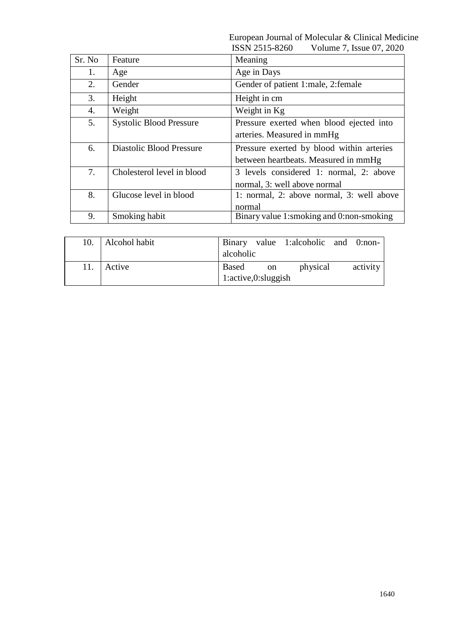|        |                                 | ,,,,,,,,,,,,,,,,,<br>$\frac{1}{2}$ $\frac{1}{2}$ $\frac{1}{2}$ |
|--------|---------------------------------|----------------------------------------------------------------|
| Sr. No | Feature                         | Meaning                                                        |
| 1.     | Age                             | Age in Days                                                    |
| 2.     | Gender                          | Gender of patient 1:male, 2:female                             |
| 3.     | Height                          | Height in cm                                                   |
| 4.     | Weight                          | Weight in Kg                                                   |
| 5.     | <b>Systolic Blood Pressure</b>  | Pressure exerted when blood ejected into                       |
|        |                                 | arteries. Measured in mmHg                                     |
| 6.     | <b>Diastolic Blood Pressure</b> | Pressure exerted by blood within arteries                      |
|        |                                 | between heartbeats. Measured in mmHg                           |
| 7.     | Cholesterol level in blood      | 3 levels considered 1: normal, 2: above                        |
|        |                                 | normal, 3: well above normal                                   |
| 8.     | Glucose level in blood          | 1: normal, 2: above normal, 3: well above                      |
|        |                                 | normal                                                         |
| 9.     | Smoking habit                   | Binary value 1:smoking and 0:non-smoking                       |

| 10. | Alcohol habit | alcoholic                        |    | Binary value 1:alcoholic and 0:non- |  |  |
|-----|---------------|----------------------------------|----|-------------------------------------|--|--|
| 11. | Active        | Based<br>1:active, 0:sluggingish | on | activity                            |  |  |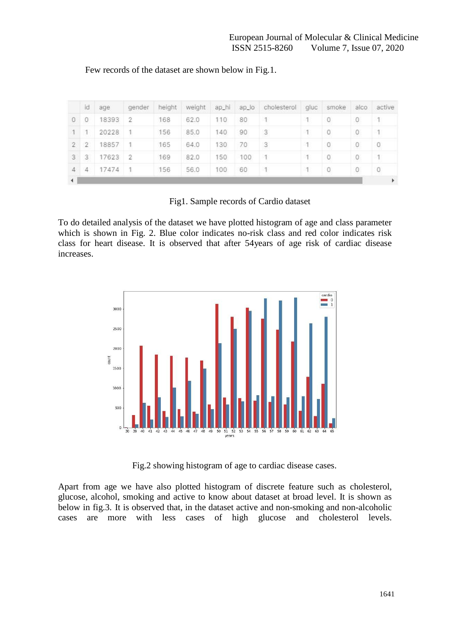|                | id             | age   | gender         | height | weight | ap_hi | $ap_$ | cholesterol | gluc | smoke | alco | active       |
|----------------|----------------|-------|----------------|--------|--------|-------|-------|-------------|------|-------|------|--------------|
| $\Omega$       | 0              | 18393 | 2              | 168    | 62.0   | 110   | 80    |             |      | 0     | 0    | $\mathbf{1}$ |
|                |                | 20228 |                | 156    | 85.0   | 140   | 90    | 3           |      | 0     | 0    | 1            |
| $\overline{2}$ | $\overline{2}$ | 18857 |                | 165    | 64.0   | 130   | 70    | 3           |      | 0     | 0    | 0            |
| 3              | 3              | 17623 | $\overline{2}$ | 169    | 82.0   | 150   | 100   |             |      | 0     | 0    | T            |
| 4              | 4              | 17474 |                | 156    | 56.0   | 100   | 60    |             |      | 0     | 0    | 0            |
|                |                |       |                |        |        |       |       |             |      |       |      | Þ            |

Few records of the dataset are shown below in Fig.1.

Fig1. Sample records of Cardio dataset

To do detailed analysis of the dataset we have plotted histogram of age and class parameter which is shown in Fig. 2. Blue color indicates no-risk class and red color indicates risk class for heart disease. It is observed that after 54years of age risk of cardiac disease increases.



Fig.2 showing histogram of age to cardiac disease cases.

Apart from age we have also plotted histogram of discrete feature such as cholesterol, glucose, alcohol, smoking and active to know about dataset at broad level. It is shown as below in fig.3. It is observed that, in the dataset active and non-smoking and non-alcoholic cases are more with less cases of high glucose and cholesterol levels.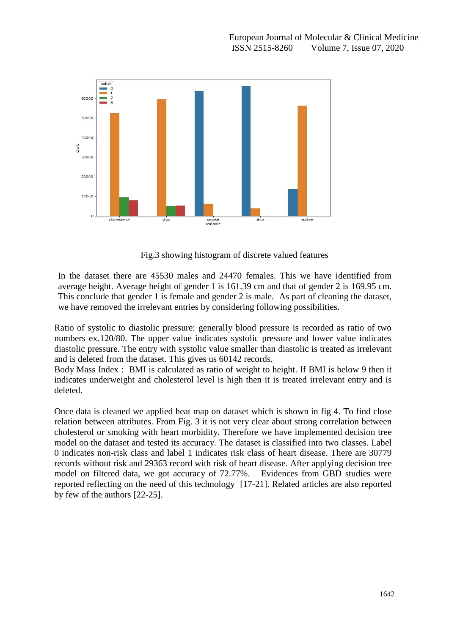

Fig.3 showing histogram of discrete valued features

In the dataset there are 45530 males and 24470 females. This we have identified from average height. Average height of gender 1 is 161.39 cm and that of gender 2 is 169.95 cm. This conclude that gender 1 is female and gender 2 is male. As part of cleaning the dataset, we have removed the irrelevant entries by considering following possibilities.

Ratio of systolic to diastolic pressure: generally blood pressure is recorded as ratio of two numbers ex.120/80. The upper value indicates systolic pressure and lower value indicates diastolic pressure. The entry with systolic value smaller than diastolic is treated as irrelevant and is deleted from the dataset. This gives us 60142 records.

Body Mass Index : BMI is calculated as ratio of weight to height. If BMI is below 9 then it indicates underweight and cholesterol level is high then it is treated irrelevant entry and is deleted.

Once data is cleaned we applied heat map on dataset which is shown in fig 4. To find close relation between attributes. From Fig. 3 it is not very clear about strong correlation between cholesterol or smoking with heart morbidity. Therefore we have implemented decision tree model on the dataset and tested its accuracy. The dataset is classified into two classes. Label 0 indicates non-risk class and label 1 indicates risk class of heart disease. There are 30779 records without risk and 29363 record with risk of heart disease. After applying decision tree model on filtered data, we got accuracy of 72.77%. Evidences from GBD studies were reported reflecting on the need of this technology [17-21]. Related articles are also reported by few of the authors [22-25].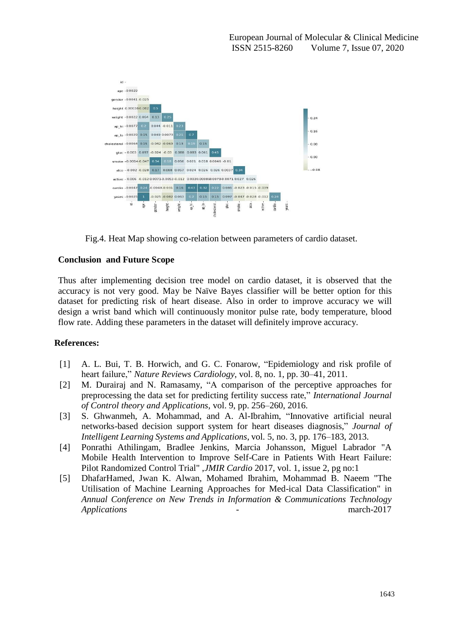

Fig.4. Heat Map showing co-relation between parameters of cardio dataset.

## **Conclusion and Future Scope**

Thus after implementing decision tree model on cardio dataset, it is observed that the accuracy is not very good. May be Naïve Bayes classifier will be better option for this dataset for predicting risk of heart disease. Also in order to improve accuracy we will design a wrist band which will continuously monitor pulse rate, body temperature, blood flow rate. Adding these parameters in the dataset will definitely improve accuracy.

## **References:**

- [1] A. L. Bui, T. B. Horwich, and G. C. Fonarow, "Epidemiology and risk profile of heart failure," *Nature Reviews Cardiology*, vol. 8, no. 1, pp. 30–41, 2011.
- [2] M. Durairaj and N. Ramasamy, "A comparison of the perceptive approaches for preprocessing the data set for predicting fertility success rate," *International Journal of Control theory and Applications*, vol. 9, pp. 256–260, 2016.
- [3] S. Ghwanmeh, A. Mohammad, and A. Al-Ibrahim, "Innovative artificial neural networks-based decision support system for heart diseases diagnosis," *Journal of Intelligent Learning Systems and Applications*, vol. 5, no. 3, pp. 176–183, 2013.
- [4] Ponrathi Athilingam, Bradlee Jenkins, Marcia Johansson, Miguel Labrador "A Mobile Health Intervention to Improve Self-Care in Patients With Heart Failure: Pilot Randomized Control Trial" ,*JMIR Cardio* 2017, vol. 1, issue 2, pg no:1
- [5] DhafarHamed, Jwan K. Alwan, Mohamed Ibrahim, Mohammad B. Naeem "The Utilisation of Machine Learning Approaches for Med-ical Data Classification" in *Annual Conference on New Trends in Information & Communications Technology Applications -* march-2017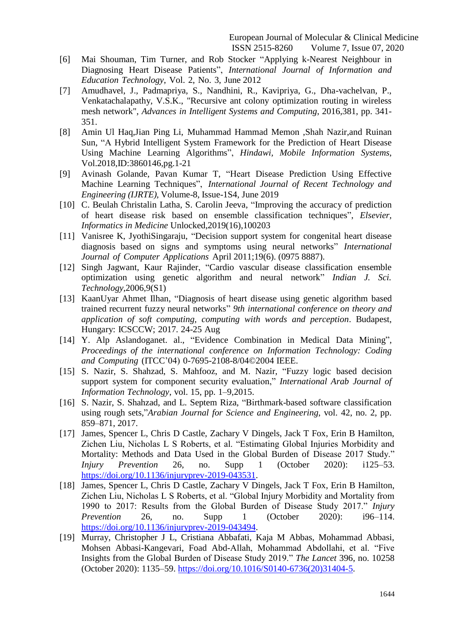- [6] Mai Shouman, Tim Turner, and Rob Stocker "Applying k-Nearest Neighbour in Diagnosing Heart Disease Patients", *International Journal of Information and Education Technology*, Vol. 2, No. 3, June 2012
- [7] Amudhavel, J., Padmapriya, S., Nandhini, R., Kavipriya, G., Dha-vachelvan, P., Venkatachalapathy, V.S.K., "Recursive ant colony optimization routing in wireless mesh network", *Advances in Intelligent Systems and Computing*, 2016,381, pp. 341- 351.
- [8] Amin Ul Haq,Jian Ping Li, Muhammad Hammad Memon ,Shah Nazir,and Ruinan Sun, "A Hybrid Intelligent System Framework for the Prediction of Heart Disease Using Machine Learning Algorithms", *Hindawi, Mobile Information Systems*, Vol.2018,ID:3860146,pg.1-21
- [9] Avinash Golande, Pavan Kumar T, "Heart Disease Prediction Using Effective Machine Learning Techniques", *International Journal of Recent Technology and Engineering (IJRTE),* Volume-8, Issue-1S4, June 2019
- [10] C. Beulah Christalin Latha, S. Carolin Jeeva, "Improving the accuracy of prediction of heart disease risk based on ensemble classification techniques", *Elsevier, Informatics in Medicine* Unlocked,2019(16),100203
- [11] Vanisree K, JyothiSingaraju, "Decision support system for congenital heart disease diagnosis based on signs and symptoms using neural networks" *International Journal of Computer Applications* April 2011;19(6). (0975 8887).
- [12] Singh Jagwant, Kaur Rajinder, "Cardio vascular disease classification ensemble optimization using genetic algorithm and neural network" *Indian J. Sci. Technology*,2006,9(S1)
- [13] KaanUyar Ahmet Ilhan, "Diagnosis of heart disease using genetic algorithm based trained recurrent fuzzy neural networks" *9th international conference on theory and application of soft computing, computing with words and perception*. Budapest, Hungary: ICSCCW; 2017. 24-25 Aug
- [14] Y. Alp Aslandoganet. al., "Evidence Combination in Medical Data Mining", *Proceedings of the international conference on Information Technology: Coding and Computing* (ITCC'04) 0-7695-2108-8/04©2004 IEEE.
- [15] S. Nazir, S. Shahzad, S. Mahfooz, and M. Nazir, "Fuzzy logic based decision support system for component security evaluation," *International Arab Journal of Information Technology*, vol. 15, pp. 1–9,2015.
- [16] S. Nazir, S. Shahzad, and L. Septem Riza, "Birthmark-based software classification using rough sets,"*Arabian Journal for Science and Engineering*, vol. 42, no. 2, pp. 859–871, 2017.
- [17] James, Spencer L, Chris D Castle, Zachary V Dingels, Jack T Fox, Erin B Hamilton, Zichen Liu, Nicholas L S Roberts, et al. "Estimating Global Injuries Morbidity and Mortality: Methods and Data Used in the Global Burden of Disease 2017 Study." *Injury Prevention* 26, no. Supp 1 (October 2020): i125–53. [https://doi.org/10.1136/injuryprev-2019-043531.](https://doi.org/10.1136/injuryprev-2019-043531)
- [18] James, Spencer L, Chris D Castle, Zachary V Dingels, Jack T Fox, Erin B Hamilton, Zichen Liu, Nicholas L S Roberts, et al. "Global Injury Morbidity and Mortality from 1990 to 2017: Results from the Global Burden of Disease Study 2017." *Injury Prevention* 26, no. Supp 1 (October 2020): i96–114. [https://doi.org/10.1136/injuryprev-2019-043494.](https://doi.org/10.1136/injuryprev-2019-043494)
- [19] Murray, Christopher J L, Cristiana Abbafati, Kaja M Abbas, Mohammad Abbasi, Mohsen Abbasi-Kangevari, Foad Abd-Allah, Mohammad Abdollahi, et al. "Five Insights from the Global Burden of Disease Study 2019." *The Lancet* 396, no. 10258 (October 2020): 1135–59. [https://doi.org/10.1016/S0140-6736\(20\)31404-5.](https://doi.org/10.1016/S0140-6736(20)31404-5)